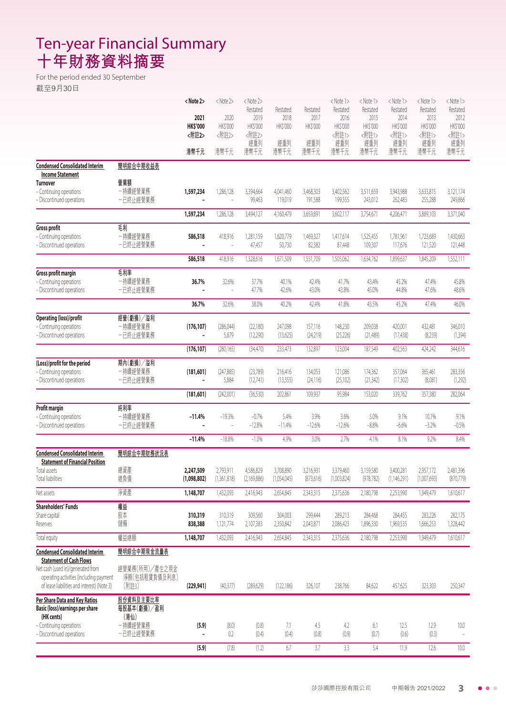## Ten-year Financial Summary **十年財務資料摘要**

For the period ended 30 September 截至9月30日

|                                                                     |                     | <note 2=""></note>       | <note2></note2>     | <note 2=""><br/>Restated</note> | Restated            | Restated             | <note 1=""><br/>Restated</note> | <note 1=""><br/>Restated</note> | <note 1=""><br/>Restated</note> | <note 1=""><br/>Restated</note> | <note 1=""><br/>Restated</note> |
|---------------------------------------------------------------------|---------------------|--------------------------|---------------------|---------------------------------|---------------------|----------------------|---------------------------------|---------------------------------|---------------------------------|---------------------------------|---------------------------------|
|                                                                     |                     | 2021                     | 2020                | 2019                            | 2018                | 2017                 | 2016                            | 2015                            | 2014                            | 2013                            | 2012                            |
|                                                                     |                     | <b>HK\$'000</b><br><附註2> | HK\$'000<br><附註2>   | HK\$'000<br><附註2>               | HK\$'000            | HK\$'000             | HK\$'000<br><附註1>               | HK\$'000<br><附註1>               | HK\$'000<br><附註1>               | HK\$'000<br><附註1>               | HK\$'000<br><附註1>               |
|                                                                     |                     |                          |                     | 經重列                             | 經重列                 | 經重列                  | 經重列                             | 經重列                             | 經重列                             | 經重列                             | 經重列                             |
|                                                                     |                     | 港幣千元                     | 港幣千元                | 港幣千元                            | 港幣千元                | 港幣千元                 | 港幣千元                            | 港幣千元                            | 港幣千元                            | 港幣千元                            | 港幣千元                            |
| <b>Condensed Consolidated Interim</b>                               | 簡明綜合中期收益表           |                          |                     |                                 |                     |                      |                                 |                                 |                                 |                                 |                                 |
| <b>Income Statement</b><br>Turnover                                 | 營業額                 |                          |                     |                                 |                     |                      |                                 |                                 |                                 |                                 |                                 |
| - Continuing operations                                             | 一持續經營業務             | 1,597,234                | 1,286,128           | 3,394,664                       | 4.041.460           | 3,468,303            | 3,402,562                       | 3,511,659                       | 3,943,988                       | 3,633,815                       | 3,121,174                       |
| - Discontinued operations                                           | 一已終止經營業務            |                          | ÷,                  | 99,463                          | 119,019             | 191,588              | 199,555                         | 243,012                         | 262,483                         | 255,288                         | 249,866                         |
|                                                                     |                     | 1,597,234                | 1,286,128           | 3,494,127                       | 4,160,479           | 3,659,891            | 3,602,117                       | 3,754,671                       | 4,206,471                       | 3,889,103                       | 3,371,040                       |
| <b>Gross profit</b>                                                 | 刮                   |                          |                     |                                 |                     |                      |                                 |                                 |                                 |                                 |                                 |
| - Continuing operations<br>- Discontinued operations                | 一持續經營業務<br>一已終止經營業務 | 586,518                  | 418,916<br>÷,       | 1,281,159<br>47,457             | 1,620,779<br>50,730 | 1,469,327<br>82,382  | 1,417,614<br>87,448             | 1,525,455<br>109,307            | 1,781,961<br>117,676            | 1,723,689<br>121,520            | 1,430,663<br>121,448            |
|                                                                     |                     | 586,518                  | 418,916             | 1,328,616                       | 1,671,509           | 1,551,709            | 1,505,062                       | 1,634,762                       | 1,899,637                       | 1,845,209                       | 1,552,111                       |
|                                                                     | 毛利率                 |                          |                     |                                 |                     |                      |                                 |                                 |                                 |                                 |                                 |
| <b>Gross profit margin</b><br>- Continuing operations               | 一持續經營業務             | 36.7%                    | 32.6%               | 37.7%                           | 40.1%               | 42.4%                | 41.7%                           | 43.4%                           | 45.2%                           | 47.4%                           | 45.8%                           |
| - Discontinued operations                                           | 一已終止經營業務            |                          | ä,                  | 47.7%                           | 42.6%               | 43.0%                | 43.8%                           | 45.0%                           | 44.8%                           | 47.6%                           | 48.6%                           |
|                                                                     |                     | 36.7%                    | 32.6%               | 38.0%                           | 40.2%               | 42.4%                | 41.8%                           | 43.5%                           | 45.2%                           | 47.4%                           | 46.0%                           |
| <b>Operating (loss)/profit</b>                                      | 經營(虧損)/溢利           |                          |                     |                                 |                     |                      |                                 |                                 |                                 |                                 |                                 |
| - Continuing operations                                             | 一持續經營業務             | (176, 107)               | (286,044)           | (22, 180)                       | 247,098             | 157,116              | 148,230                         | 209,038                         | 420,001                         | 432,481                         | 346,010                         |
| - Discontinued operations                                           | 一已終止經營業務            | $\overline{a}$           | 5,879               | (12,290)                        | (13,625)            | (24,219)             | (25, 226)                       | (21,489)                        | (17, 438)                       | (8,239)                         | (1, 394)                        |
|                                                                     |                     | (176, 107)               | (280, 165)          | (34, 470)                       | 233,473             | 132,897              | 123,004                         | 187,549                         | 402,563                         | 424,242                         | 344,616                         |
| (Loss)/profit for the period                                        | 期內(虧損)/溢利           |                          |                     |                                 |                     |                      |                                 |                                 |                                 |                                 |                                 |
| - Continuing operations<br>- Discontinued operations                | -持續經營業務<br>一已終止經營業務 | (181, 601)               | (247, 885)<br>5,884 | (23,789)<br>(12,741)            | 216,416<br>(13,555) | 134,053<br>(24, 116) | 121,086<br>(25, 102)            | 174,362<br>(21, 342)            | 357,064<br>(17,302)             | 365,461<br>(8,081)              | 283,356<br>(1,292)              |
|                                                                     |                     | (181,601)                | (242,001)           | (36, 530)                       | 202,861             | 109,937              | 95,984                          | 153,020                         | 339,762                         | 357,380                         | 282,064                         |
| Profit margin                                                       | 純利率                 |                          |                     |                                 |                     |                      |                                 |                                 |                                 |                                 |                                 |
| - Continuing operations                                             | 一持續經營業務             | $-11.4%$                 | $-19.3%$            | $-0.7%$                         | 5.4%                | 3.9%                 | 3.6%                            | 5.0%                            | 9.1%                            | 10.1%                           | 9.1%                            |
| - Discontinued operations                                           | 一已終止經營業務            |                          |                     | $-12.8%$                        | $-11.4%$            | $-12.6%$             | $-12.6%$                        | $-8.8%$                         | $-6.6%$                         | $-3.2%$                         | $-0.5%$                         |
|                                                                     |                     | $-11.4%$                 | $-18.8%$            | $-1.0%$                         | 4.9%                | 3.0%                 | 2.7%                            | 4.1%                            | 8.1%                            | 9.2%                            | 8.4%                            |
| <b>Condensed Consolidated Interim</b>                               | 簡明綜合中期財務狀況表         |                          |                     |                                 |                     |                      |                                 |                                 |                                 |                                 |                                 |
| <b>Statement of Financial Position</b><br>Total assets              | 總資產                 | 2,247,509                | 2,793,911           | 4,586,829                       | 3,708,890           | 3,216,931            | 3,379,460                       | 3,159,580                       | 3,400,281                       | 2,957,172                       | 2,481,396                       |
| Total liabilities                                                   | 總負債                 | (1,098,802)              | (1,361,818)         | (2,169,886)                     | (1,054,045)         | (8/3,616)            | (1,003,824)                     | (9/8,/82)                       | (1,146,291)                     | (1,00/0,693)                    | (8/0, 1/9)                      |
| Net assets                                                          | 淨資產                 | 1,148,707                | 1,432,093           | 2,416,943                       | 2,654,845           | 2,343,315            | 2,375,636                       | 2,180,798                       | 2,253,990                       | 1,949,479                       | 1,610,617                       |
| <b>Shareholders' Funds</b>                                          | 權益                  |                          |                     |                                 |                     |                      |                                 |                                 |                                 |                                 |                                 |
| Share capital                                                       | 股本                  | 310,319                  | 310,319             | 309,560                         | 304,003             | 299,444              | 289,213                         | 284,468                         | 284,455                         | 283,226                         | 282,175                         |
| Reserves                                                            | 儲備                  | 838,388                  | 1,121,774           | 2,107,383                       | 2,350,842           | 2,043,871            | 2,086,423                       | 1,896,330                       | 1,969,535                       | 1,666,253                       | 1,328,442                       |
| Total equity                                                        | 權益總額                | 1,148,707                | 1,432,093           | 2,416,943                       | 2,654,845           | 2,343,315            | 2,375,636                       | 2,180,798                       | 2,253,990                       | 1,949,479                       | 1,610,617                       |
| <b>Condensed Consolidated Interim</b>                               | 簡明綜合中期現金流量表         |                          |                     |                                 |                     |                      |                                 |                                 |                                 |                                 |                                 |
| <b>Statement of Cash Flows</b><br>Net cash (used in)/generated from | 經營業務(所用)/產生之現金      |                          |                     |                                 |                     |                      |                                 |                                 |                                 |                                 |                                 |
| operating activities (including payment                             | 淨額(包括租賃負債及利息)       |                          |                     |                                 |                     |                      |                                 |                                 |                                 |                                 |                                 |
| of lease liabilities and interest) (Note 3)                         | (附註3)               | (229, 941)               | (40, 377)           | (289, 629)                      | (122, 186)          | 326,107              | 238,766                         | 84,622                          | 457,625                         | 323,303                         | 250,347                         |
| Per Share Data and Key Ratios                                       | 股份資料及主要比率           |                          |                     |                                 |                     |                      |                                 |                                 |                                 |                                 |                                 |
| Basic (loss)/earnings per share<br>(HK cents)                       | 每股基本(虧損)/盈利<br>(港仙) |                          |                     |                                 |                     |                      |                                 |                                 |                                 |                                 |                                 |
| - Continuing operations                                             | 一持續經營業務             | (5.9)                    | (8.0)               | (0.8)                           | 7.1                 | 4.5                  | 4.2                             | 6.1                             | 12.5                            | 12.9                            | 10.0                            |
| - Discontinued operations                                           | 一已終止經營業務            | $\overline{\phantom{0}}$ | 0.2                 | (0.4)                           | (0.4)               | (0.8)                | (0.9)                           | (0.7)                           | (0.6)                           | (0.3)                           | $\overline{\phantom{a}}$        |
|                                                                     |                     | (5.9)                    | (7.8)               | (1.2)                           | 6.7                 | 3.7                  | 3.3                             | 5.4                             | 11.9                            | 12.6                            | 10.0                            |